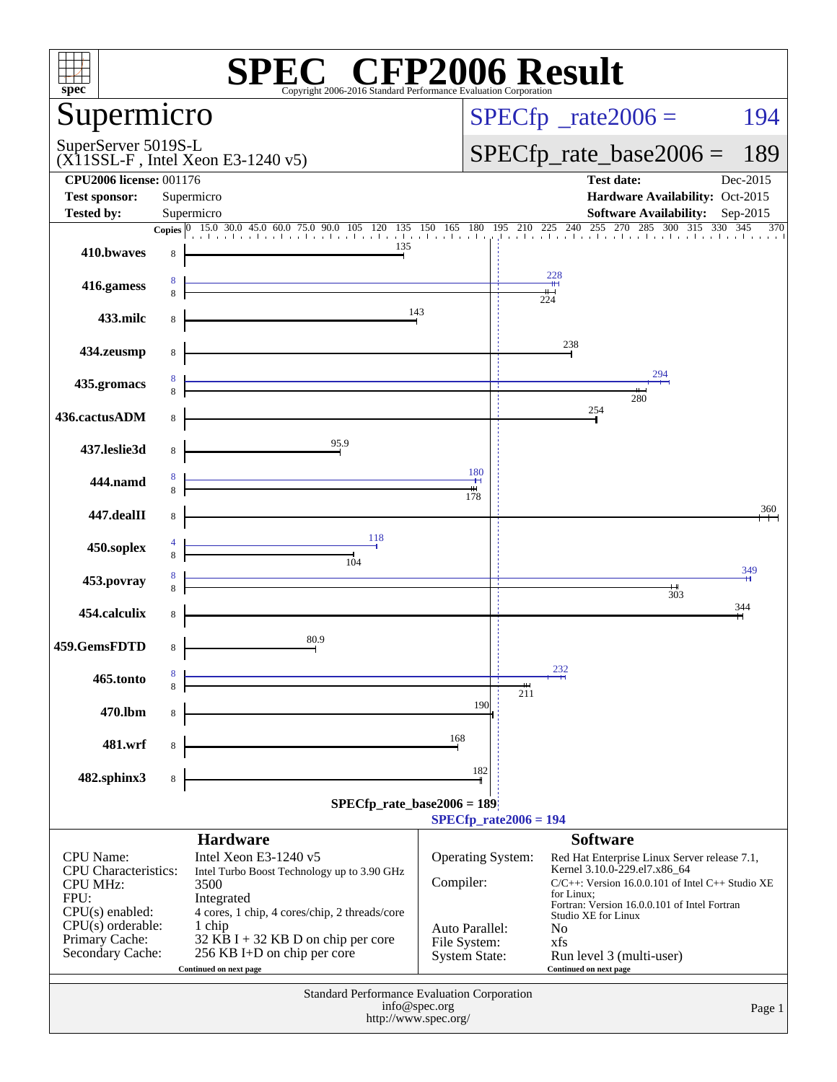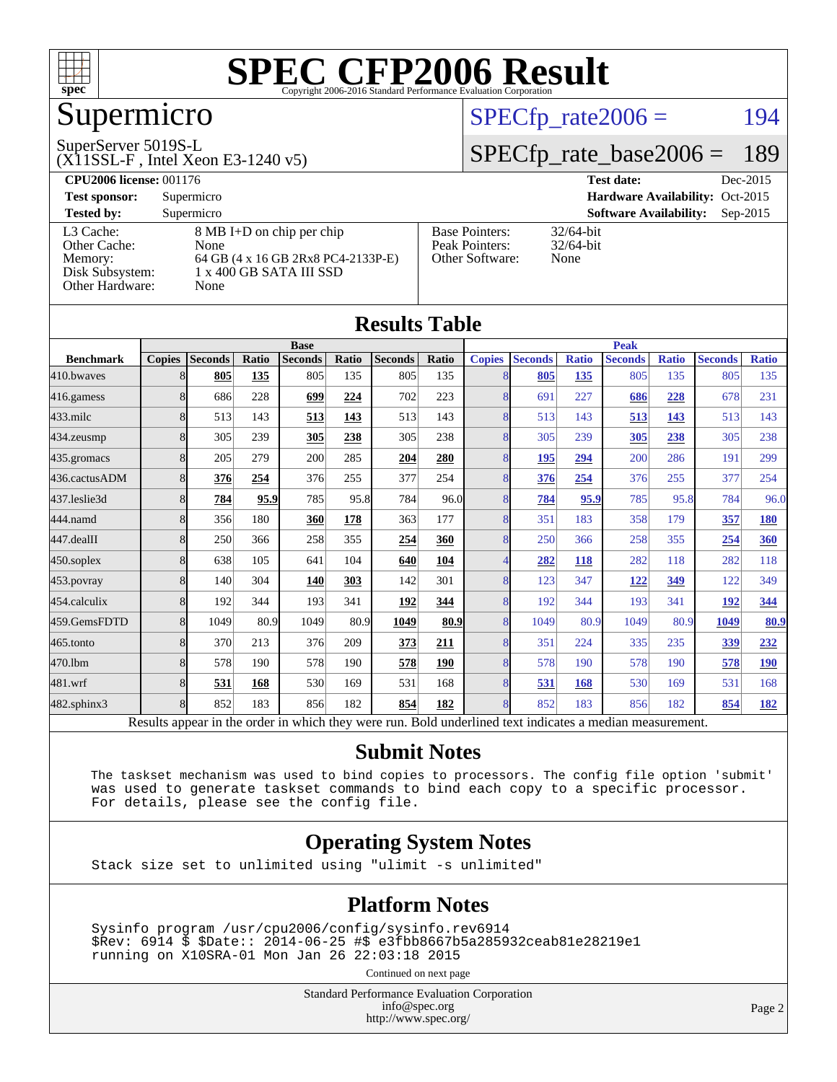

## Supermicro

#### SuperServer 5019S-L

(X11SSL-F , Intel Xeon E3-1240 v5)

#### $SPECTp_rate2006 = 194$

#### [SPECfp\\_rate\\_base2006 =](http://www.spec.org/auto/cpu2006/Docs/result-fields.html#SPECfpratebase2006) 189

| <b>CPU2006 license: 001176</b> |                                    |                       | <b>Test date:</b><br>Dec-2015               |  |  |  |  |
|--------------------------------|------------------------------------|-----------------------|---------------------------------------------|--|--|--|--|
| <b>Test sponsor:</b>           | Supermicro                         |                       | Hardware Availability: Oct-2015             |  |  |  |  |
| <b>Tested by:</b>              | Supermicro                         |                       | <b>Software Availability:</b><br>$Sep-2015$ |  |  |  |  |
| L3 Cache:                      | 8 MB I+D on chip per chip          | <b>Base Pointers:</b> | $32/64$ -bit                                |  |  |  |  |
| Other Cache:                   | None                               | Peak Pointers:        | $32/64$ -bit                                |  |  |  |  |
| Memory:                        | 64 GB (4 x 16 GB 2Rx8 PC4-2133P-E) | Other Software:       | None                                        |  |  |  |  |
| Disk Subsystem:                | 1 x 400 GB SATA III SSD            |                       |                                             |  |  |  |  |
| Other Hardware:                | None                               |                       |                                             |  |  |  |  |

**[Results Table](http://www.spec.org/auto/cpu2006/Docs/result-fields.html#ResultsTable)**

|                  |               |                                                                                                          |       |                |       | Results Table  |             |                |                |              |                |              |                |              |
|------------------|---------------|----------------------------------------------------------------------------------------------------------|-------|----------------|-------|----------------|-------------|----------------|----------------|--------------|----------------|--------------|----------------|--------------|
|                  | <b>Base</b>   |                                                                                                          |       |                |       |                | <b>Peak</b> |                |                |              |                |              |                |              |
| <b>Benchmark</b> | <b>Copies</b> | <b>Seconds</b>                                                                                           | Ratio | <b>Seconds</b> | Ratio | <b>Seconds</b> | Ratio       | <b>Copies</b>  | <b>Seconds</b> | <b>Ratio</b> | <b>Seconds</b> | <b>Ratio</b> | <b>Seconds</b> | <b>Ratio</b> |
| 410.bwaves       | 81            | 805                                                                                                      | 135   | 805            | 135   | 805            | 135         |                | 805            | 135          | 805            | 135          | 805            | 135          |
| $416$ .gamess    | 8             | 686                                                                                                      | 228   | 699            | 224   | 702            | 223         | 8              | 691            | 227          | 686            | 228          | 678            | 231          |
| $433$ .milc      | 8             | 513                                                                                                      | 143   | 513            | 143   | 513            | 143         | 8              | 513            | 143          | 513            | 143          | 513            | 143          |
| $434$ . zeusmp   | 8             | 305                                                                                                      | 239   | 305            | 238   | 305            | 238         | $\overline{8}$ | 305            | 239          | 305            | 238          | 305            | 238          |
| 435.gromacs      | 8             | 205                                                                                                      | 279   | 200            | 285   | 204            | 280         | 8              | <u>195</u>     | 294          | 200            | 286          | 191            | 299          |
| 436.cactusADM    | 8             | 376                                                                                                      | 254   | 376            | 255   | 377            | 254         | 8              | 376            | 254          | 376            | 255          | 377            | 254          |
| 437.leslie3d     | 8             | 784                                                                                                      | 95.9  | 785            | 95.8  | 784            | 96.0        | 8              | 784            | 95.9         | 785            | 95.8         | 784            | 96.0         |
| 444.namd         | 8             | 356                                                                                                      | 180   | 360            | 178   | 363            | 177         | 8              | 351            | 183          | 358            | 179          | 357            | <b>180</b>   |
| $447$ .dealII    | 8             | 250                                                                                                      | 366   | 258            | 355   | 254            | 360         | 8              | 250            | 366          | 258            | 355          | 254            | <b>360</b>   |
| $450$ .soplex    | 8             | 638                                                                                                      | 105   | 641            | 104   | 640            | 104         |                | 282            | 118          | 282            | 118          | 282            | 118          |
| 453.povray       | 8             | 140                                                                                                      | 304   | 140            | 303   | 142            | 301         | 8              | 123            | 347          | <u>122</u>     | 349          | 122            | 349          |
| 454.calculix     | 8             | 192                                                                                                      | 344   | 193            | 341   | 192            | 344         | 8              | 192            | 344          | 193            | 341          | 192            | 344          |
| 459.GemsFDTD     | 8             | 1049                                                                                                     | 80.9  | 1049           | 80.9  | 1049           | 80.9        | 8              | 1049           | 80.9         | 1049           | 80.9         | 1049           | 80.9         |
| $465$ .tonto     | 8             | 370                                                                                                      | 213   | 376            | 209   | 373            | 211         | 8              | 351            | 224          | 335            | 235          | 339            | 232          |
| 470.1bm          | 8             | 578                                                                                                      | 190   | 578            | 190   | 578            | 190         | 8              | 578            | 190          | 578            | 190          | 578            | <b>190</b>   |
| 481.wrf          | 8             | 531                                                                                                      | 168   | 530            | 169   | 531            | 168         | 8              | 531            | 168          | 530            | 169          | 531            | 168          |
| 482.sphinx3      | 8             | 852                                                                                                      | 183   | 856            | 182   | 854            | 182         | 8              | 852            | 183          | 856            | 182          | 854            | 182          |
|                  |               | Results appear in the order in which they were run. Bold underlined text indicates a median measurement. |       |                |       |                |             |                |                |              |                |              |                |              |

#### **[Submit Notes](http://www.spec.org/auto/cpu2006/Docs/result-fields.html#SubmitNotes)**

 The taskset mechanism was used to bind copies to processors. The config file option 'submit' was used to generate taskset commands to bind each copy to a specific processor. For details, please see the config file.

#### **[Operating System Notes](http://www.spec.org/auto/cpu2006/Docs/result-fields.html#OperatingSystemNotes)**

Stack size set to unlimited using "ulimit -s unlimited"

#### **[Platform Notes](http://www.spec.org/auto/cpu2006/Docs/result-fields.html#PlatformNotes)**

 Sysinfo program /usr/cpu2006/config/sysinfo.rev6914 \$Rev: 6914 \$ \$Date:: 2014-06-25 #\$ e3fbb8667b5a285932ceab81e28219e1 running on X10SRA-01 Mon Jan 26 22:03:18 2015

Continued on next page

Standard Performance Evaluation Corporation [info@spec.org](mailto:info@spec.org) <http://www.spec.org/>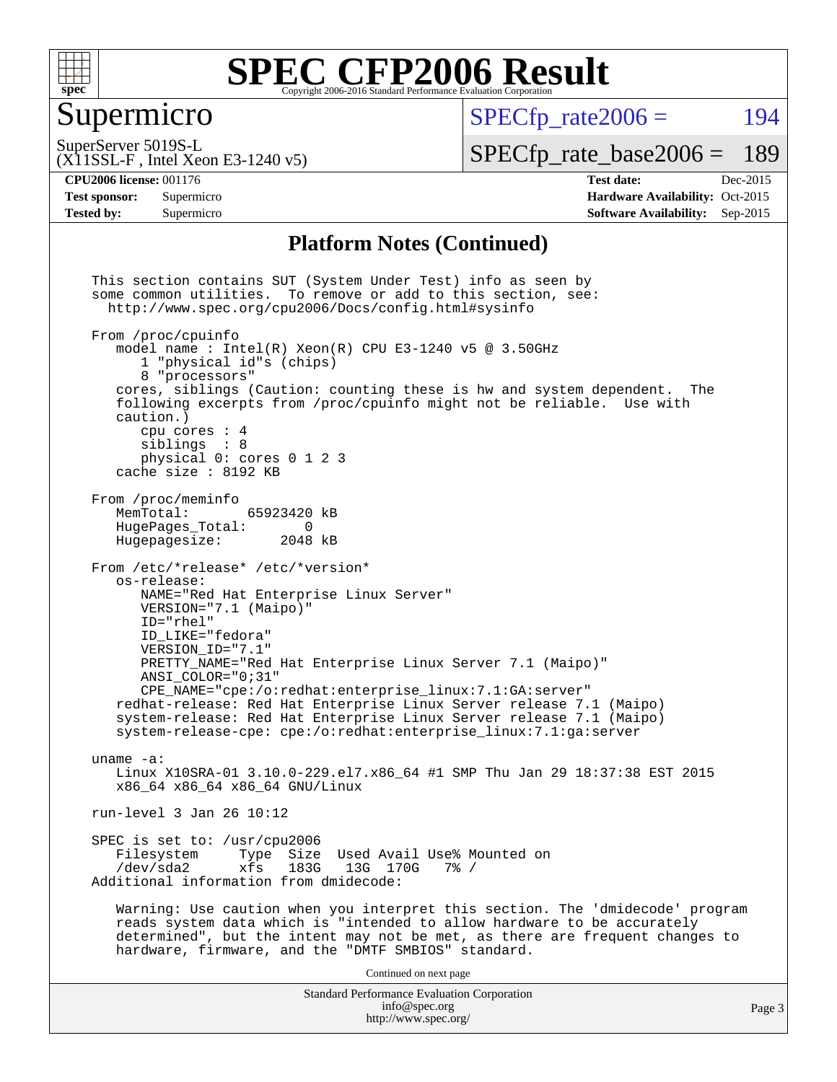

### Supermicro

 $SPECTp\_rate2006 = 194$ 

(X11SSL-F , Intel Xeon E3-1240 v5) SuperServer 5019S-L

[SPECfp\\_rate\\_base2006 =](http://www.spec.org/auto/cpu2006/Docs/result-fields.html#SPECfpratebase2006) 189

**[CPU2006 license:](http://www.spec.org/auto/cpu2006/Docs/result-fields.html#CPU2006license)** 001176 **[Test date:](http://www.spec.org/auto/cpu2006/Docs/result-fields.html#Testdate)** Dec-2015 **[Test sponsor:](http://www.spec.org/auto/cpu2006/Docs/result-fields.html#Testsponsor)** Supermicro Supermicro **[Hardware Availability:](http://www.spec.org/auto/cpu2006/Docs/result-fields.html#HardwareAvailability)** Oct-2015 **[Tested by:](http://www.spec.org/auto/cpu2006/Docs/result-fields.html#Testedby)** Supermicro **[Software Availability:](http://www.spec.org/auto/cpu2006/Docs/result-fields.html#SoftwareAvailability)** Sep-2015

#### **[Platform Notes \(Continued\)](http://www.spec.org/auto/cpu2006/Docs/result-fields.html#PlatformNotes)**

Standard Performance Evaluation Corporation [info@spec.org](mailto:info@spec.org) <http://www.spec.org/> This section contains SUT (System Under Test) info as seen by some common utilities. To remove or add to this section, see: <http://www.spec.org/cpu2006/Docs/config.html#sysinfo> From /proc/cpuinfo model name : Intel $(R)$  Xeon $(R)$  CPU E3-1240 v5 @ 3.50GHz 1 "physical id"s (chips) 8 "processors" cores, siblings (Caution: counting these is hw and system dependent. The following excerpts from /proc/cpuinfo might not be reliable. Use with caution.) cpu cores : 4 siblings : 8 physical 0: cores 0 1 2 3 cache size : 8192 KB From /proc/meminfo MemTotal: 65923420 kB<br>HugePages Total: 0 HugePages\_Total: 0<br>Hugepagesize: 2048 kB Hugepagesize: From /etc/\*release\* /etc/\*version\* os-release: NAME="Red Hat Enterprise Linux Server" VERSION="7.1 (Maipo)" ID="rhel" ID\_LIKE="fedora" VERSION\_ID="7.1" PRETTY\_NAME="Red Hat Enterprise Linux Server 7.1 (Maipo)" ANSI\_COLOR="0;31" CPE\_NAME="cpe:/o:redhat:enterprise\_linux:7.1:GA:server" redhat-release: Red Hat Enterprise Linux Server release 7.1 (Maipo) system-release: Red Hat Enterprise Linux Server release 7.1 (Maipo) system-release-cpe: cpe:/o:redhat:enterprise\_linux:7.1:ga:server uname -a: Linux X10SRA-01 3.10.0-229.el7.x86\_64 #1 SMP Thu Jan 29 18:37:38 EST 2015 x86\_64 x86\_64 x86\_64 GNU/Linux run-level 3 Jan 26 10:12 SPEC is set to: /usr/cpu2006<br>Filesystem Type Size Type Size Used Avail Use% Mounted on /dev/sda2 xfs 183G 13G 170G 7% / Additional information from dmidecode: Warning: Use caution when you interpret this section. The 'dmidecode' program reads system data which is "intended to allow hardware to be accurately determined", but the intent may not be met, as there are frequent changes to hardware, firmware, and the "DMTF SMBIOS" standard. Continued on next page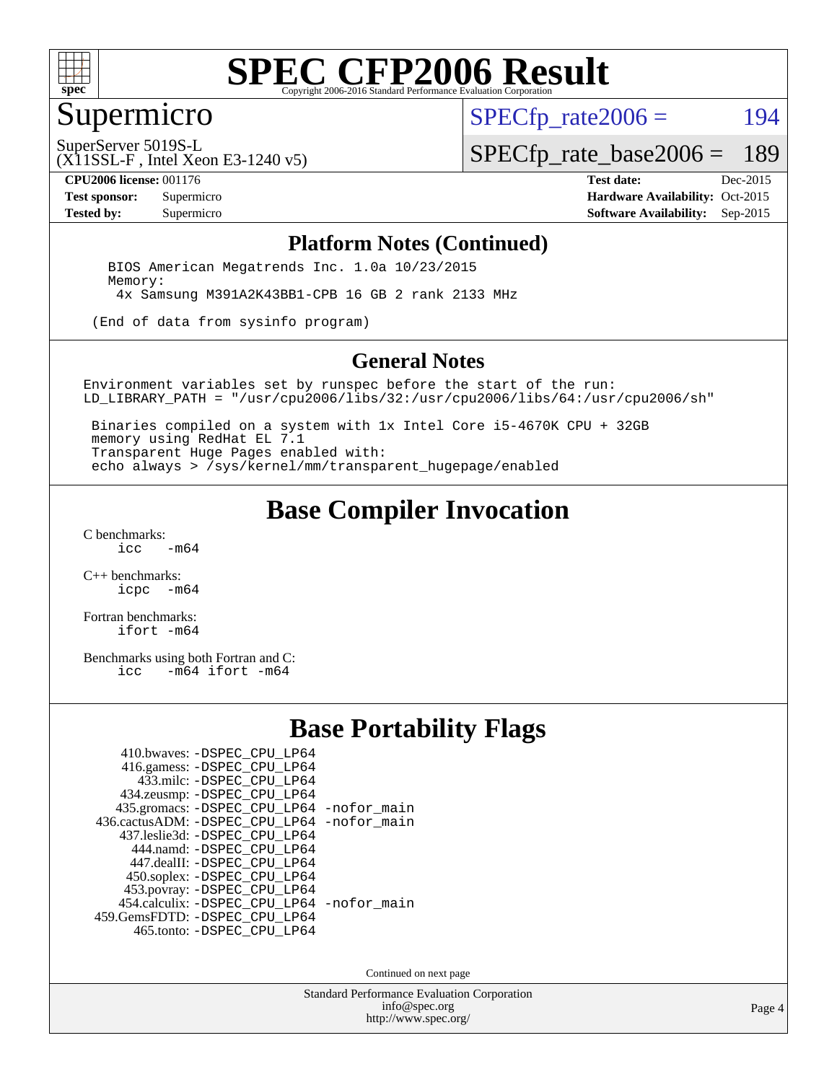

## Supermicro

 $SPECTp\_rate2006 = 194$ 

SuperServer 5019S-L

[SPECfp\\_rate\\_base2006 =](http://www.spec.org/auto/cpu2006/Docs/result-fields.html#SPECfpratebase2006) 189

**[CPU2006 license:](http://www.spec.org/auto/cpu2006/Docs/result-fields.html#CPU2006license)** 001176 **[Test date:](http://www.spec.org/auto/cpu2006/Docs/result-fields.html#Testdate)** Dec-2015

(X11SSL-F , Intel Xeon E3-1240 v5)

**[Test sponsor:](http://www.spec.org/auto/cpu2006/Docs/result-fields.html#Testsponsor)** Supermicro Supermicro **[Hardware Availability:](http://www.spec.org/auto/cpu2006/Docs/result-fields.html#HardwareAvailability)** Oct-2015 **[Tested by:](http://www.spec.org/auto/cpu2006/Docs/result-fields.html#Testedby)** Supermicro **Supermicro [Software Availability:](http://www.spec.org/auto/cpu2006/Docs/result-fields.html#SoftwareAvailability)** Sep-2015

#### **[Platform Notes \(Continued\)](http://www.spec.org/auto/cpu2006/Docs/result-fields.html#PlatformNotes)**

 BIOS American Megatrends Inc. 1.0a 10/23/2015 Memory: 4x Samsung M391A2K43BB1-CPB 16 GB 2 rank 2133 MHz

(End of data from sysinfo program)

#### **[General Notes](http://www.spec.org/auto/cpu2006/Docs/result-fields.html#GeneralNotes)**

Environment variables set by runspec before the start of the run: LD\_LIBRARY\_PATH = "/usr/cpu2006/libs/32:/usr/cpu2006/libs/64:/usr/cpu2006/sh"

 Binaries compiled on a system with 1x Intel Core i5-4670K CPU + 32GB memory using RedHat EL 7.1 Transparent Huge Pages enabled with: echo always > /sys/kernel/mm/transparent\_hugepage/enabled

### **[Base Compiler Invocation](http://www.spec.org/auto/cpu2006/Docs/result-fields.html#BaseCompilerInvocation)**

[C benchmarks](http://www.spec.org/auto/cpu2006/Docs/result-fields.html#Cbenchmarks):  $-m64$ 

[C++ benchmarks:](http://www.spec.org/auto/cpu2006/Docs/result-fields.html#CXXbenchmarks) [icpc -m64](http://www.spec.org/cpu2006/results/res2016q1/cpu2006-20151217-38451.flags.html#user_CXXbase_intel_icpc_64bit_bedb90c1146cab66620883ef4f41a67e)

[Fortran benchmarks](http://www.spec.org/auto/cpu2006/Docs/result-fields.html#Fortranbenchmarks): [ifort -m64](http://www.spec.org/cpu2006/results/res2016q1/cpu2006-20151217-38451.flags.html#user_FCbase_intel_ifort_64bit_ee9d0fb25645d0210d97eb0527dcc06e)

[Benchmarks using both Fortran and C](http://www.spec.org/auto/cpu2006/Docs/result-fields.html#BenchmarksusingbothFortranandC):<br>icc -m64 ifort -m64  $-m64$  ifort  $-m64$ 

### **[Base Portability Flags](http://www.spec.org/auto/cpu2006/Docs/result-fields.html#BasePortabilityFlags)**

| 410.bwaves: -DSPEC CPU LP64                 |  |
|---------------------------------------------|--|
| 416.gamess: -DSPEC_CPU_LP64                 |  |
| 433.milc: -DSPEC CPU LP64                   |  |
| 434.zeusmp: -DSPEC_CPU_LP64                 |  |
| 435.gromacs: -DSPEC_CPU_LP64 -nofor_main    |  |
| 436.cactusADM: -DSPEC CPU LP64 -nofor main  |  |
| 437.leslie3d: -DSPEC CPU LP64               |  |
| 444.namd: -DSPEC CPU LP64                   |  |
| 447.dealII: -DSPEC_CPU_LP64                 |  |
| 450.soplex: -DSPEC_CPU_LP64                 |  |
| 453.povray: -DSPEC_CPU_LP64                 |  |
| 454.calculix: - DSPEC CPU LP64 - nofor main |  |
| 459. GemsFDTD: - DSPEC CPU LP64             |  |
| 465.tonto: -DSPEC_CPU_LP64                  |  |

Continued on next page

Standard Performance Evaluation Corporation [info@spec.org](mailto:info@spec.org) <http://www.spec.org/>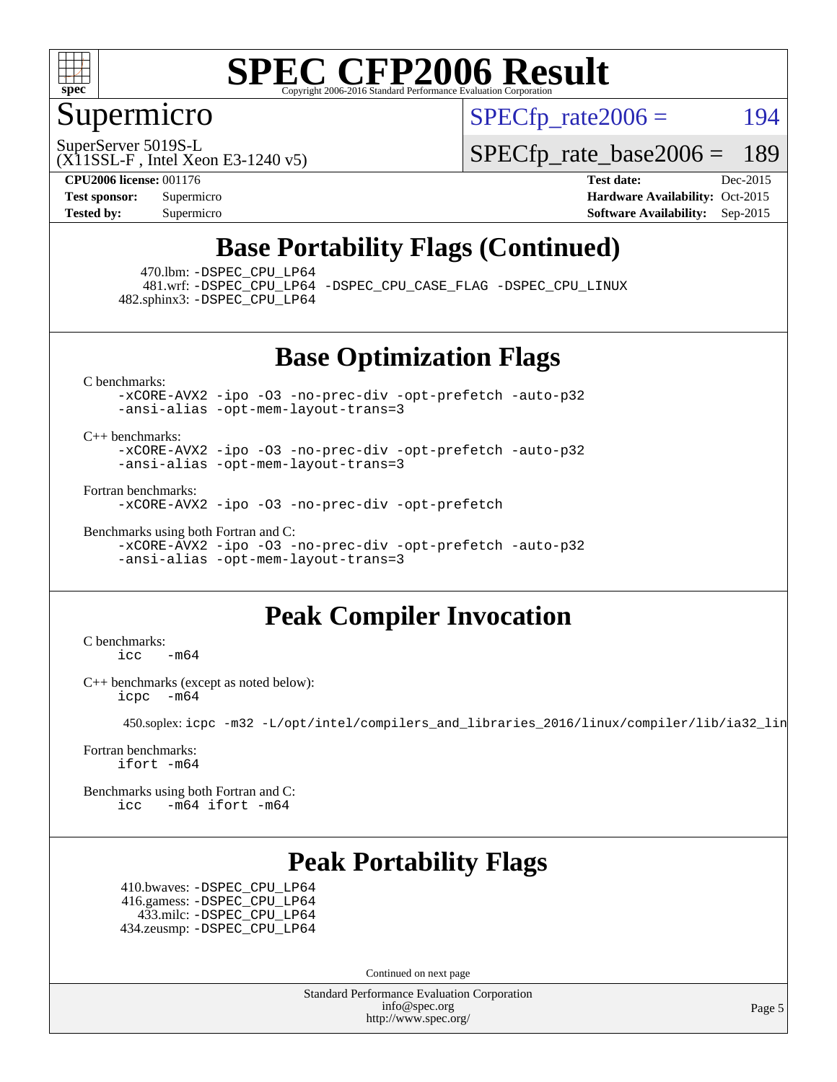

### Supermicro

 $SPECTp\_rate2006 = 194$ 

SuperServer 5019S-L

[SPECfp\\_rate\\_base2006 =](http://www.spec.org/auto/cpu2006/Docs/result-fields.html#SPECfpratebase2006) 189

**[CPU2006 license:](http://www.spec.org/auto/cpu2006/Docs/result-fields.html#CPU2006license)** 001176 **[Test date:](http://www.spec.org/auto/cpu2006/Docs/result-fields.html#Testdate)** Dec-2015

(X11SSL-F , Intel Xeon E3-1240 v5)

**[Test sponsor:](http://www.spec.org/auto/cpu2006/Docs/result-fields.html#Testsponsor)** Supermicro Supermicro **[Hardware Availability:](http://www.spec.org/auto/cpu2006/Docs/result-fields.html#HardwareAvailability)** Oct-2015 **[Tested by:](http://www.spec.org/auto/cpu2006/Docs/result-fields.html#Testedby)** Supermicro **Supermicro [Software Availability:](http://www.spec.org/auto/cpu2006/Docs/result-fields.html#SoftwareAvailability)** Sep-2015

## **[Base Portability Flags \(Continued\)](http://www.spec.org/auto/cpu2006/Docs/result-fields.html#BasePortabilityFlags)**

470.lbm: [-DSPEC\\_CPU\\_LP64](http://www.spec.org/cpu2006/results/res2016q1/cpu2006-20151217-38451.flags.html#suite_basePORTABILITY470_lbm_DSPEC_CPU_LP64)

 481.wrf: [-DSPEC\\_CPU\\_LP64](http://www.spec.org/cpu2006/results/res2016q1/cpu2006-20151217-38451.flags.html#suite_basePORTABILITY481_wrf_DSPEC_CPU_LP64) [-DSPEC\\_CPU\\_CASE\\_FLAG](http://www.spec.org/cpu2006/results/res2016q1/cpu2006-20151217-38451.flags.html#b481.wrf_baseCPORTABILITY_DSPEC_CPU_CASE_FLAG) [-DSPEC\\_CPU\\_LINUX](http://www.spec.org/cpu2006/results/res2016q1/cpu2006-20151217-38451.flags.html#b481.wrf_baseCPORTABILITY_DSPEC_CPU_LINUX) 482.sphinx3: [-DSPEC\\_CPU\\_LP64](http://www.spec.org/cpu2006/results/res2016q1/cpu2006-20151217-38451.flags.html#suite_basePORTABILITY482_sphinx3_DSPEC_CPU_LP64)

**[Base Optimization Flags](http://www.spec.org/auto/cpu2006/Docs/result-fields.html#BaseOptimizationFlags)**

[C benchmarks](http://www.spec.org/auto/cpu2006/Docs/result-fields.html#Cbenchmarks):

[-xCORE-AVX2](http://www.spec.org/cpu2006/results/res2016q1/cpu2006-20151217-38451.flags.html#user_CCbase_f-xAVX2_5f5fc0cbe2c9f62c816d3e45806c70d7) [-ipo](http://www.spec.org/cpu2006/results/res2016q1/cpu2006-20151217-38451.flags.html#user_CCbase_f-ipo) [-O3](http://www.spec.org/cpu2006/results/res2016q1/cpu2006-20151217-38451.flags.html#user_CCbase_f-O3) [-no-prec-div](http://www.spec.org/cpu2006/results/res2016q1/cpu2006-20151217-38451.flags.html#user_CCbase_f-no-prec-div) [-opt-prefetch](http://www.spec.org/cpu2006/results/res2016q1/cpu2006-20151217-38451.flags.html#user_CCbase_f-opt-prefetch) [-auto-p32](http://www.spec.org/cpu2006/results/res2016q1/cpu2006-20151217-38451.flags.html#user_CCbase_f-auto-p32) [-ansi-alias](http://www.spec.org/cpu2006/results/res2016q1/cpu2006-20151217-38451.flags.html#user_CCbase_f-ansi-alias) [-opt-mem-layout-trans=3](http://www.spec.org/cpu2006/results/res2016q1/cpu2006-20151217-38451.flags.html#user_CCbase_f-opt-mem-layout-trans_a7b82ad4bd7abf52556d4961a2ae94d5)

[C++ benchmarks:](http://www.spec.org/auto/cpu2006/Docs/result-fields.html#CXXbenchmarks)

[-xCORE-AVX2](http://www.spec.org/cpu2006/results/res2016q1/cpu2006-20151217-38451.flags.html#user_CXXbase_f-xAVX2_5f5fc0cbe2c9f62c816d3e45806c70d7) [-ipo](http://www.spec.org/cpu2006/results/res2016q1/cpu2006-20151217-38451.flags.html#user_CXXbase_f-ipo) [-O3](http://www.spec.org/cpu2006/results/res2016q1/cpu2006-20151217-38451.flags.html#user_CXXbase_f-O3) [-no-prec-div](http://www.spec.org/cpu2006/results/res2016q1/cpu2006-20151217-38451.flags.html#user_CXXbase_f-no-prec-div) [-opt-prefetch](http://www.spec.org/cpu2006/results/res2016q1/cpu2006-20151217-38451.flags.html#user_CXXbase_f-opt-prefetch) [-auto-p32](http://www.spec.org/cpu2006/results/res2016q1/cpu2006-20151217-38451.flags.html#user_CXXbase_f-auto-p32) [-ansi-alias](http://www.spec.org/cpu2006/results/res2016q1/cpu2006-20151217-38451.flags.html#user_CXXbase_f-ansi-alias) [-opt-mem-layout-trans=3](http://www.spec.org/cpu2006/results/res2016q1/cpu2006-20151217-38451.flags.html#user_CXXbase_f-opt-mem-layout-trans_a7b82ad4bd7abf52556d4961a2ae94d5)

[Fortran benchmarks](http://www.spec.org/auto/cpu2006/Docs/result-fields.html#Fortranbenchmarks):

[-xCORE-AVX2](http://www.spec.org/cpu2006/results/res2016q1/cpu2006-20151217-38451.flags.html#user_FCbase_f-xAVX2_5f5fc0cbe2c9f62c816d3e45806c70d7) [-ipo](http://www.spec.org/cpu2006/results/res2016q1/cpu2006-20151217-38451.flags.html#user_FCbase_f-ipo) [-O3](http://www.spec.org/cpu2006/results/res2016q1/cpu2006-20151217-38451.flags.html#user_FCbase_f-O3) [-no-prec-div](http://www.spec.org/cpu2006/results/res2016q1/cpu2006-20151217-38451.flags.html#user_FCbase_f-no-prec-div) [-opt-prefetch](http://www.spec.org/cpu2006/results/res2016q1/cpu2006-20151217-38451.flags.html#user_FCbase_f-opt-prefetch)

[Benchmarks using both Fortran and C](http://www.spec.org/auto/cpu2006/Docs/result-fields.html#BenchmarksusingbothFortranandC): [-xCORE-AVX2](http://www.spec.org/cpu2006/results/res2016q1/cpu2006-20151217-38451.flags.html#user_CC_FCbase_f-xAVX2_5f5fc0cbe2c9f62c816d3e45806c70d7) [-ipo](http://www.spec.org/cpu2006/results/res2016q1/cpu2006-20151217-38451.flags.html#user_CC_FCbase_f-ipo) [-O3](http://www.spec.org/cpu2006/results/res2016q1/cpu2006-20151217-38451.flags.html#user_CC_FCbase_f-O3) [-no-prec-div](http://www.spec.org/cpu2006/results/res2016q1/cpu2006-20151217-38451.flags.html#user_CC_FCbase_f-no-prec-div) [-opt-prefetch](http://www.spec.org/cpu2006/results/res2016q1/cpu2006-20151217-38451.flags.html#user_CC_FCbase_f-opt-prefetch) [-auto-p32](http://www.spec.org/cpu2006/results/res2016q1/cpu2006-20151217-38451.flags.html#user_CC_FCbase_f-auto-p32) [-ansi-alias](http://www.spec.org/cpu2006/results/res2016q1/cpu2006-20151217-38451.flags.html#user_CC_FCbase_f-ansi-alias) [-opt-mem-layout-trans=3](http://www.spec.org/cpu2006/results/res2016q1/cpu2006-20151217-38451.flags.html#user_CC_FCbase_f-opt-mem-layout-trans_a7b82ad4bd7abf52556d4961a2ae94d5)

## **[Peak Compiler Invocation](http://www.spec.org/auto/cpu2006/Docs/result-fields.html#PeakCompilerInvocation)**

[C benchmarks](http://www.spec.org/auto/cpu2006/Docs/result-fields.html#Cbenchmarks):  $\text{icc}$  -m64

[C++ benchmarks \(except as noted below\):](http://www.spec.org/auto/cpu2006/Docs/result-fields.html#CXXbenchmarksexceptasnotedbelow) [icpc -m64](http://www.spec.org/cpu2006/results/res2016q1/cpu2006-20151217-38451.flags.html#user_CXXpeak_intel_icpc_64bit_bedb90c1146cab66620883ef4f41a67e)

450.soplex: [icpc -m32 -L/opt/intel/compilers\\_and\\_libraries\\_2016/linux/compiler/lib/ia32\\_lin](http://www.spec.org/cpu2006/results/res2016q1/cpu2006-20151217-38451.flags.html#user_peakCXXLD450_soplex_intel_icpc_b4f50a394bdb4597aa5879c16bc3f5c5)

[Fortran benchmarks](http://www.spec.org/auto/cpu2006/Docs/result-fields.html#Fortranbenchmarks): [ifort -m64](http://www.spec.org/cpu2006/results/res2016q1/cpu2006-20151217-38451.flags.html#user_FCpeak_intel_ifort_64bit_ee9d0fb25645d0210d97eb0527dcc06e)

[Benchmarks using both Fortran and C](http://www.spec.org/auto/cpu2006/Docs/result-fields.html#BenchmarksusingbothFortranandC): [icc -m64](http://www.spec.org/cpu2006/results/res2016q1/cpu2006-20151217-38451.flags.html#user_CC_FCpeak_intel_icc_64bit_0b7121f5ab7cfabee23d88897260401c) [ifort -m64](http://www.spec.org/cpu2006/results/res2016q1/cpu2006-20151217-38451.flags.html#user_CC_FCpeak_intel_ifort_64bit_ee9d0fb25645d0210d97eb0527dcc06e)

## **[Peak Portability Flags](http://www.spec.org/auto/cpu2006/Docs/result-fields.html#PeakPortabilityFlags)**

 410.bwaves: [-DSPEC\\_CPU\\_LP64](http://www.spec.org/cpu2006/results/res2016q1/cpu2006-20151217-38451.flags.html#suite_peakPORTABILITY410_bwaves_DSPEC_CPU_LP64) 416.gamess: [-DSPEC\\_CPU\\_LP64](http://www.spec.org/cpu2006/results/res2016q1/cpu2006-20151217-38451.flags.html#suite_peakPORTABILITY416_gamess_DSPEC_CPU_LP64) 433.milc: [-DSPEC\\_CPU\\_LP64](http://www.spec.org/cpu2006/results/res2016q1/cpu2006-20151217-38451.flags.html#suite_peakPORTABILITY433_milc_DSPEC_CPU_LP64) 434.zeusmp: [-DSPEC\\_CPU\\_LP64](http://www.spec.org/cpu2006/results/res2016q1/cpu2006-20151217-38451.flags.html#suite_peakPORTABILITY434_zeusmp_DSPEC_CPU_LP64)

Continued on next page

Standard Performance Evaluation Corporation [info@spec.org](mailto:info@spec.org) <http://www.spec.org/>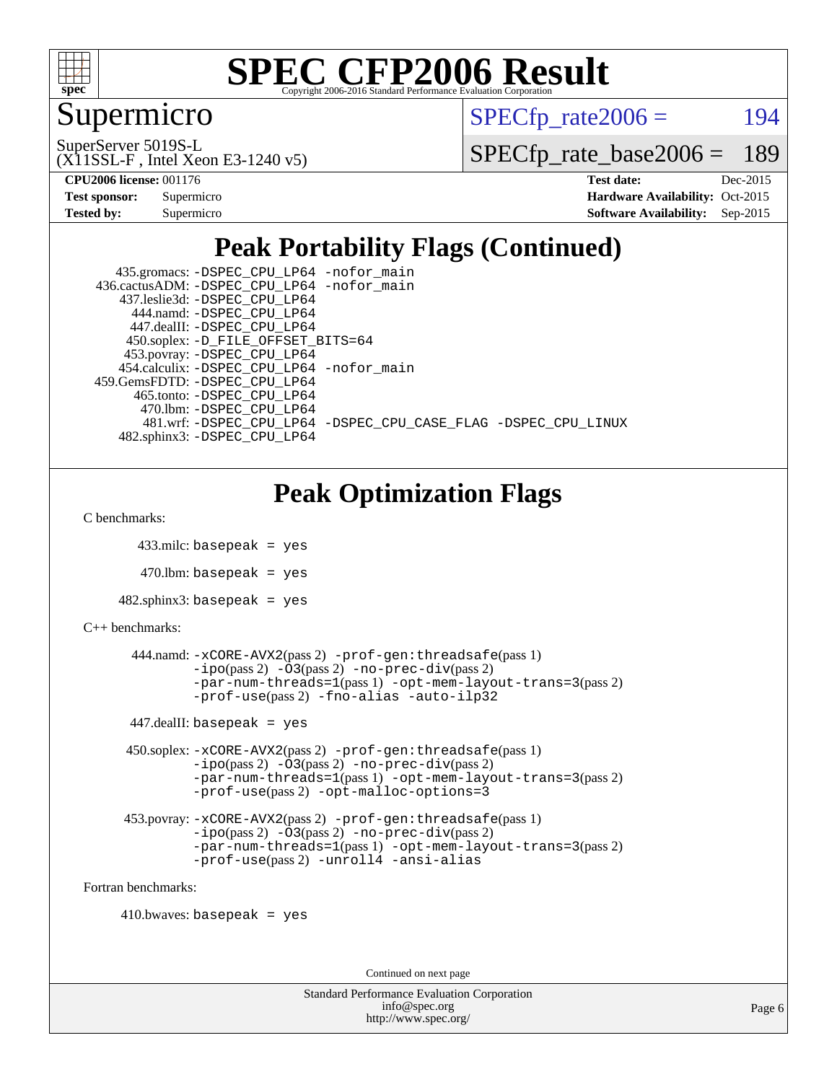

### Supermicro

 $SPECTp\_rate2006 = 194$ 

(X11SSL-F , Intel Xeon E3-1240 v5) SuperServer 5019S-L

[SPECfp\\_rate\\_base2006 =](http://www.spec.org/auto/cpu2006/Docs/result-fields.html#SPECfpratebase2006) 189

| <b>Test sponsor:</b> | Supermicro |
|----------------------|------------|
| <b>Tested by:</b>    | Supermicro |

**[CPU2006 license:](http://www.spec.org/auto/cpu2006/Docs/result-fields.html#CPU2006license)** 001176 **[Test date:](http://www.spec.org/auto/cpu2006/Docs/result-fields.html#Testdate)** Dec-2015 **[Hardware Availability:](http://www.spec.org/auto/cpu2006/Docs/result-fields.html#HardwareAvailability)** Oct-2015 **[Software Availability:](http://www.spec.org/auto/cpu2006/Docs/result-fields.html#SoftwareAvailability)** Sep-2015

## **[Peak Portability Flags \(Continued\)](http://www.spec.org/auto/cpu2006/Docs/result-fields.html#PeakPortabilityFlags)**

| 435.gromacs: -DSPEC_CPU_LP64 -nofor_main                       |
|----------------------------------------------------------------|
| 436.cactusADM: -DSPEC CPU LP64 -nofor main                     |
| 437.leslie3d: -DSPEC CPU LP64                                  |
| 444.namd: -DSPEC CPU LP64                                      |
| 447.dealII: -DSPEC CPU LP64                                    |
| 450.soplex: -D_FILE_OFFSET_BITS=64                             |
| 453.povray: -DSPEC_CPU_LP64                                    |
| 454.calculix: -DSPEC CPU LP64 -nofor main                      |
| 459. GemsFDTD: - DSPEC CPU LP64                                |
| 465.tonto: -DSPEC CPU LP64                                     |
| 470.1bm: -DSPEC_CPU_LP64                                       |
| 481.wrf: -DSPEC CPU LP64 -DSPEC CPU CASE FLAG -DSPEC CPU LINUX |
| 482.sphinx3: -DSPEC CPU LP64                                   |

## **[Peak Optimization Flags](http://www.spec.org/auto/cpu2006/Docs/result-fields.html#PeakOptimizationFlags)**

[C benchmarks](http://www.spec.org/auto/cpu2006/Docs/result-fields.html#Cbenchmarks):

```
 433.milc: basepeak = yes
```
 $470.$ lbm: basepeak = yes

```
482.sphinx3: basepeak = yes
```

```
C++ benchmarks:
```

```
 444.namd: -xCORE-AVX2(pass 2) -prof-gen:threadsafe(pass 1)
        -no-prec-div(pass 2)-par-num-threads=1(pass 1) -opt-mem-layout-trans=3(pass 2)
        -prof-use(pass 2) -fno-alias -auto-ilp32
447.dealII: basepeak = yes
 450.soplex: -xCORE-AVX2(pass 2) -prof-gen:threadsafe(pass 1)
         -ipo(pass 2) -O3(pass 2) -no-prec-div(pass 2)
         -par-num-threads=1(pass 1) -opt-mem-layout-trans=3(pass 2)
         -prof-use(pass 2) -opt-malloc-options=3
 453.povray: -xCORE-AVX2(pass 2) -prof-gen:threadsafe(pass 1)
         -no-prec-div(pass 2)-par-num-threads=1(pass 1) -opt-mem-layout-trans=3(pass 2)
         -prof-use(pass 2) -unroll4 -ansi-alias
```
[Fortran benchmarks](http://www.spec.org/auto/cpu2006/Docs/result-fields.html#Fortranbenchmarks):

 $410.bwaves: basepeak = yes$ 

Continued on next page

```
Standard Performance Evaluation Corporation
             info@spec.org
           http://www.spec.org/
```